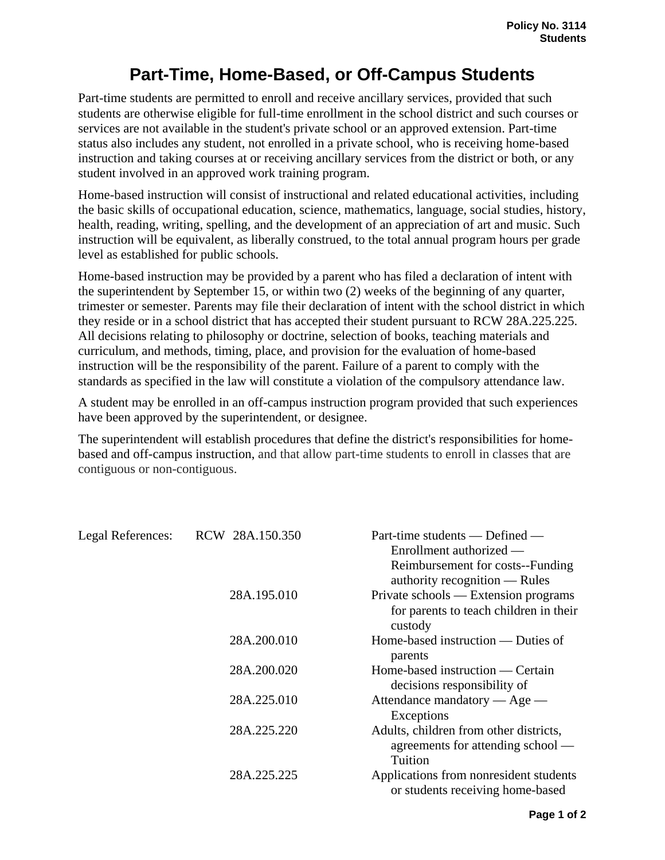## **Part-Time, Home-Based, or Off-Campus Students**

Part-time students are permitted to enroll and receive ancillary services, provided that such students are otherwise eligible for full-time enrollment in the school district and such courses or services are not available in the student's private school or an approved extension. Part-time status also includes any student, not enrolled in a private school, who is receiving home-based instruction and taking courses at or receiving ancillary services from the district or both, or any student involved in an approved work training program.

Home-based instruction will consist of instructional and related educational activities, including the basic skills of occupational education, science, mathematics, language, social studies, history, health, reading, writing, spelling, and the development of an appreciation of art and music. Such instruction will be equivalent, as liberally construed, to the total annual program hours per grade level as established for public schools.

Home-based instruction may be provided by a parent who has filed a declaration of intent with the superintendent by September 15, or within two (2) weeks of the beginning of any quarter, trimester or semester. Parents may file their declaration of intent with the school district in which they reside or in a school district that has accepted their student pursuant to RCW 28A.225.225. All decisions relating to philosophy or doctrine, selection of books, teaching materials and curriculum, and methods, timing, place, and provision for the evaluation of home-based instruction will be the responsibility of the parent. Failure of a parent to comply with the standards as specified in the law will constitute a violation of the compulsory attendance law.

A student may be enrolled in an off-campus instruction program provided that such experiences have been approved by the superintendent, or designee.

The superintendent will establish procedures that define the district's responsibilities for homebased and off-campus instruction, and that allow part-time students to enroll in classes that are contiguous or non-contiguous.

| Legal References: | RCW 28A.150.350 | Part-time students — Defined —         |
|-------------------|-----------------|----------------------------------------|
|                   |                 | Enrollment authorized —                |
|                   |                 | Reimbursement for costs--Funding       |
|                   |                 | authority recognition $-$ Rules        |
|                   | 28A.195.010     | Private schools — Extension programs   |
|                   |                 | for parents to teach children in their |
|                   |                 | custody                                |
|                   | 28A.200.010     | Home-based instruction — Duties of     |
|                   |                 | parents                                |
|                   | 28A.200.020     | Home-based instruction — Certain       |
|                   |                 | decisions responsibility of            |
|                   | 28A.225.010     | Attendance mandatory $-$ Age $-$       |
|                   |                 | Exceptions                             |
|                   | 28A.225.220     | Adults, children from other districts, |
|                   |                 | agreements for attending school —      |
|                   |                 | Tuition                                |
|                   | 28A.225.225     | Applications from nonresident students |
|                   |                 | or students receiving home-based       |